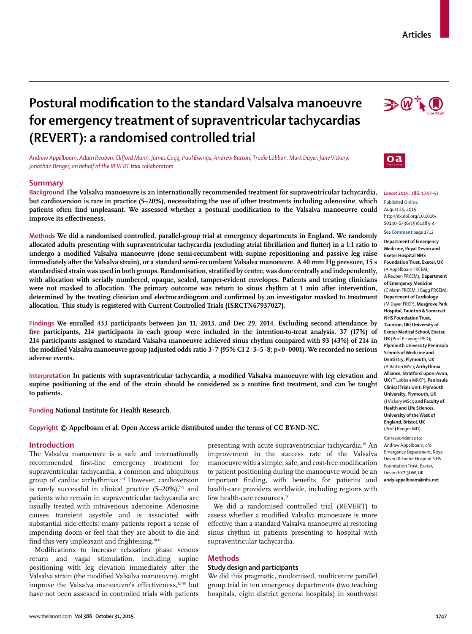# **Postural modifi cation to the standard Valsalva manoeuvre for emergency treatment of supraventricular tachycardias (REVERT): a randomised controlled trial**

*Andrew Appelboam, Adam Reuben, Cliff ord Mann, James Gagg, Paul Ewings, Andrew Barton, Trudie Lobban, Mark Dayer, Jane Vickery, Jonathan Benger, on behalf of the REVERT trial collaborators*

## **Summary**

**Background The Valsalva manoeuvre is an internationally recommended treatment for supraventricular tachycardia, but cardioversion is rare in practice (5–20%), necessitating the use of other treatments including adenosine, which**  patients often find unpleasant. We assessed whether a postural modification to the Valsalva manoeuvre could improve its effectiveness.

**Methods We did a randomised controlled, parallel-group trial at emergency departments in England. We randomly**  allocated adults presenting with supraventricular tachycardia (excluding atrial fibrillation and flutter) in a 1:1 ratio to undergo a modified Valsalva manoeuvre (done semi-recumbent with supine repositioning and passive leg raise **immediately after the Valsalva strain), or a standard semi-recumbent Valsalva manoeuvre. A 40 mm Hg pressure, 15 s**  standardised strain was used in both groups. Randomisation, stratified by centre, was done centrally and independently, **with allocation with serially numbered, opaque, sealed, tamper-evident envelopes. Patients and treating clinicians were not masked to allocation. The primary outcome was return to sinus rhythm at 1 min after intervention,**  determined by the treating clinician and electrocardiogram and confirmed by an investigator masked to treatment **allocation. This study is registered with Current Controlled Trials (ISRCTN67937027).**

**Findings We enrolled 433 participants between Jan 11, 2013, and Dec 29, 2014. Excluding second attendance by five participants, 214 participants in each group were included in the intention-to-treat analysis. 37 (17%) of 214 participants assigned to standard Valsalva manoeuvre achieved sinus rhythm compared with 93 (43%) of 214 in the modified Valsalva manoeuvre group (adjusted odds ratio 3·7 (95% CI 2·3–5·8; p<0·0001). We recorded no serious adverse events.**

Interpretation In patients with supraventricular tachycardia, a modified Valsalva manoeuvre with leg elevation and **supine positioning at the end of the strain should be considered as a routine first treatment, and can be taught to patients.**

**Funding National Institute for Health Research.**

**Copyright © Appelboam et al. Open Access article distributed under the terms of CC BY-ND-NC.**

## **Introduction**

The Valsalva manoeuvre is a safe and internationally recommended first-line emergency treatment for supraventricular tachycardia, a common and ubiquitous group of cardiac arrhythmias.1–6 However, cardioversion is rarely successful in clinical practice  $(5-20\%)$ ,<sup>7-9</sup> and patients who remain in supraventricular tachycardia are usually treated with intravenous adenosine. Adenosine causes transient asystole and is associated with substantial side-effects: many patients report a sense of impending doom or feel that they are about to die and find this very unpleasant and frightening.<sup>10,11</sup>

Modifications to increase relaxation phase venous return and vagal stimulation, including supine positioning with leg elevation immediately after the Valsalva strain (the modified Valsalva manoeuvre), might improve the Valsalva manoeuvre's effectiveness,<sup>12-18</sup> but have not been assessed in controlled trials with patients presenting with acute supraventricular tachycardia.19 An improvement in the success rate of the Valsalva manoeuvre with a simple, safe, and cost-free modification to patient positioning during the manoeuvre would be an important finding, with benefits for patients and health-care providers worldwide, including regions with few health-care resources.<sup>18</sup>

We did a randomised controlled trial (REVERT) to assess whether a modified Valsalva manoeuvre is more effective than a standard Valsalva manoeuvre at restoring sinus rhythm in patients presenting to hospital with supraventricular tachycardia.

#### **Methods**

## **Study design and participants**

We did this pragmatic, randomised, multicentre parallel group trial in ten emergency departments (two teaching hospitals, eight district general hospitals) in southwest





#### *Lancet* **2015; 386: 1747–53**

Published **Online** August 25, 2015 http://dx.doi.org/10.1016/ S0140-6736(15)61485-4

See **Comment** page 1712

**Department of Emergency Medicine, Royal Devon and Exeter Hospital NHS Foundation Trust, Exeter, UK**  (A Appelboam FRCEM, A Reuben FRCEM)**; Department of Emergency Medicine**  (C Mann FRCEM, J Gagg FRCEM)**, Department of Cardiology**  (M Dayer FRCP)**, Musgrove Park Hospital, Taunton & Somerset NHS Foundation Trust, Taunton, UK; University of Exeter Medical School, Exeter, UK** (Prof P Ewings PhD)**; Plymouth University Peninsula Schools of Medicine and Dentistry, Plymouth, UK**  (A Barton MSc)**; Arrhythmia Alliance, Stratford-upon-Avon, UK** (T Lobban MRCP)**; Peninsula Clinical Trials Unit, Plymouth University, Plymouth, UK**  (J Vickery MSc)**; and Faculty of Health and Life Sciences, University of the West of England, Bristol, UK**  (Prof J Benger MD)

Correspondence to: Andrew Appelboam, c/o Emergency Department, Royal Devon & Exeter Hospital NHS Foundation Trust, Exeter, Devon EX2 3DW, UK **andy.appelboam@nhs.net**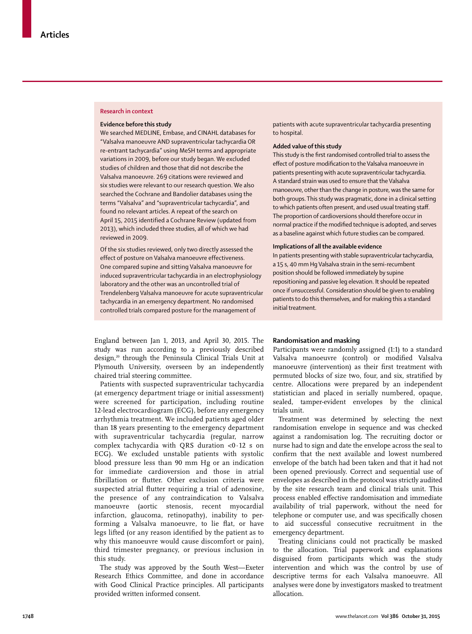#### **Research in context**

#### **Evidence before this study**

We searched MEDLINE, Embase, and CINAHL databases for "Valsalva manoeuvre AND supraventricular tachycardia OR re-entrant tachycardia" using MeSH terms and appropriate variations in 2009, before our study began. We excluded studies of children and those that did not describe the Valsalva manoeuvre. 269 citations were reviewed and six studies were relevant to our research question. We also searched the Cochrane and Bandolier databases using the terms "Valsalva" and "supraventricular tachycardia", and found no relevant articles. A repeat of the search on April 15, 2015 identified a Cochrane Review (updated from 2013), which included three studies, all of which we had reviewed in 2009.

Of the six studies reviewed, only two directly assessed the effect of posture on Valsalva manoeuvre effectiveness. One compared supine and sitting Valsalva manoeuvre for induced supraventricular tachycardia in an electrophysiology laboratory and the other was an uncontrolled trial of Trendelenberg Valsalva manoeuvre for acute supraventricular tachycardia in an emergency department. No randomised controlled trials compared posture for the management of

patients with acute supraventricular tachycardia presenting to hospital.

## **Added value of this study**

This study is the first randomised controlled trial to assess the effect of posture modification to the Valsalva manoeuvre in patients presenting with acute supraventricular tachycardia. A standard strain was used to ensure that the Valsalva manoeuvre, other than the change in posture, was the same for both groups. This study was pragmatic, done in a clinical setting to which patients often present, and used usual treating staff. The proportion of cardioversions should therefore occur in normal practice if the modified technique is adopted, and serves as a baseline against which future studies can be compared.

#### **Implications of all the available evidence**

In patients presenting with stable supraventricular tachycardia, a 15 s, 40 mm Hg Valsalva strain in the semi-recumbent position should be followed immediately by supine repositioning and passive leg elevation. It should be repeated once if unsuccessful. Consideration should be given to enabling patients to do this themselves, and for making this a standard initial treatment.

England between Jan 1, 2013, and April 30, 2015. The study was run according to a previously described design,<sup>20</sup> through the Peninsula Clinical Trials Unit at Plymouth University, overseen by an independently chaired trial steering committee.

Patients with suspected supraventricular tachycardia (at emergency department triage or initial assessment) were screened for participation, including routine 12-lead electrocardiogram (ECG), before any emergency arrhythmia treatment. We included patients aged older than 18 years presenting to the emergency department with supraventricular tachycardia (regular, narrow complex tachycardia with QRS duration <0·12 s on ECG). We excluded unstable patients with systolic blood pressure less than 90 mm Hg or an indication for immediate cardioversion and those in atrial fibrillation or flutter. Other exclusion criteria were suspected atrial flutter requiring a trial of adenosine, the presence of any contraindication to Valsalva manoeuvre (aortic stenosis, recent myocardial infarction, glaucoma, retinopathy), inability to performing a Valsalva manoeuvre, to lie flat, or have legs lifted (or any reason identified by the patient as to why this manoeuvre would cause discomfort or pain), third trimester pregnancy, or previous inclusion in this study.

The study was approved by the South West—Exeter Research Ethics Committee, and done in accordance with Good Clinical Practice principles. All participants provided written informed consent.

## **Randomisation and masking**

Participants were randomly assigned (1:1) to a standard Valsalva manoeuvre (control) or modified Valsalva manoeuvre (intervention) as their first treatment with permuted blocks of size two, four, and six, stratified by centre. Allocations were prepared by an independent statistician and placed in serially numbered, opaque, sealed, tamper-evident envelopes by the clinical trials unit.

Treatment was determined by selecting the next randomisation envelope in sequence and was checked against a randomisation log. The recruiting doctor or nurse had to sign and date the envelope across the seal to confirm that the next available and lowest numbered envelope of the batch had been taken and that it had not been opened previously. Correct and sequential use of envelopes as described in the protocol was strictly audited by the site research team and clinical trials unit. This process enabled effective randomisation and immediate availability of trial paperwork, without the need for telephone or computer use, and was specifically chosen to aid successful consecutive recruitment in the emergency department.

Treating clinicians could not practically be masked to the allocation. Trial paperwork and explanations disguised from participants which was the study intervention and which was the control by use of descriptive terms for each Valsalva manoeuvre. All analyses were done by investigators masked to treatment allocation.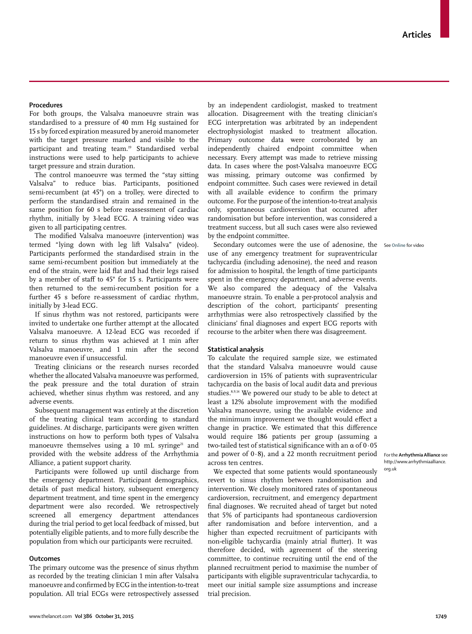# **Procedures**

For both groups, the Valsalva manoeuvre strain was standardised to a pressure of 40 mm Hg sustained for 15 s by forced expiration measured by aneroid manometer with the target pressure marked and visible to the participant and treating team.19 Standardised verbal instructions were used to help participants to achieve target pressure and strain duration.

The control manoeuvre was termed the "stay sitting Valsalva" to reduce bias. Participants, positioned semi-recumbent (at 45°) on a trolley, were directed to perform the standardised strain and remained in the same position for 60 s before reassessment of cardiac rhythm, initially by 3-lead ECG. A training video was given to all participating centres.

The modified Valsalva manoeuvre (intervention) was termed "lying down with leg lift Valsalva" (video). Participants performed the standardised strain in the same semi-recumbent position but immediately at the end of the strain, were laid flat and had their legs raised by a member of staff to 45° for 15 s. Participants were then returned to the semi-recumbent position for a further 45 s before re-assessment of cardiac rhythm, initially by 3-lead ECG.

If sinus rhythm was not restored, participants were invited to undertake one further attempt at the allocated Valsalva manoeuvre. A 12-lead ECG was recorded if return to sinus rhythm was achieved at 1 min after Valsalva manoeuvre, and 1 min after the second manoeuvre even if unsuccessful.

Treating clinicians or the research nurses recorded whether the allocated Valsalva manoeuvre was performed, the peak pressure and the total duration of strain achieved, whether sinus rhythm was restored, and any adverse events.

Subsequent management was entirely at the discretion of the treating clinical team according to standard guidelines. At discharge, participants were given written instructions on how to perform both types of Valsalva manoeuvre themselves using a 10 mL syringe<sup>21</sup> and provided with the website address of the Arrhythmia Alliance, a patient support charity.

Participants were followed up until discharge from the emergency department. Participant demographics, details of past medical history, subsequent emergency department treatment, and time spent in the emergency department were also recorded. We retrospectively screened all emergency department attendances during the trial period to get local feedback of missed, but potentially eligible patients, and to more fully describe the population from which our participants were recruited.

## **Outcomes**

The primary outcome was the presence of sinus rhythm as recorded by the treating clinician 1 min after Valsalva manoeuvre and confirmed by ECG in the intention-to-treat population. All trial ECGs were retrospectively assessed by an independent cardiologist, masked to treatment allocation. Disagreement with the treating clinician's ECG interpretation was arbitrated by an independent electrophysiologist masked to treatment allocation. Primary outcome data were corroborated by an independently chaired endpoint committee when necessary. Every attempt was made to retrieve missing data. In cases where the post-Valsalva manoeuvre ECG was missing, primary outcome was confirmed by endpoint committee. Such cases were reviewed in detail with all available evidence to confirm the primary outcome. For the purpose of the intention-to-treat analysis only, spontaneous cardioversion that occurred after randomisation but before intervention, was considered a treatment success, but all such cases were also reviewed by the endpoint committee.

Secondary outcomes were the use of adenosine, the See **Online** for videouse of any emergency treatment for supraventricular tachycardia (including adenosine), the need and reason for admission to hospital, the length of time participants spent in the emergency department, and adverse events. We also compared the adequacy of the Valsalva manoeuvre strain. To enable a per-protocol analysis and description of the cohort, participants' presenting arrhythmias were also retrospectively classified by the clinicians' final diagnoses and expert ECG reports with recourse to the arbiter when there was disagreement.

## **Statistical analysis**

To calculate the required sample size, we estimated that the standard Valsalva manoeuvre would cause cardioversion in 15% of patients with supraventricular tachycardia on the basis of local audit data and previous studies.8,9,14 We powered our study to be able to detect at least a 12% absolute improvement with the modified Valsalva manoeuvre, using the available evidence and the minimum improvement we thought would effect a change in practice. We estimated that this difference would require 186 patients per group (assuming a two-tailed test of statistical significance with an  $\alpha$  of  $0.05$ and power of 0·8), and a 22 month recruitment period across ten centres.

We expected that some patients would spontaneously revert to sinus rhythm between randomisation and intervention. We closely monitored rates of spontaneous cardioversion, recruitment, and emergency department final diagnoses. We recruited ahead of target but noted that 5% of participants had spontaneous cardioversion after randomisation and before intervention, and a higher than expected recruitment of participants with non-eligible tachycardia (mainly atrial flutter). It was therefore decided, with agreement of the steering committee, to continue recruiting until the end of the planned recruitment period to maximise the number of participants with eligible supraventricular tachycardia, to meet our initial sample size assumptions and increase trial precision.

For the **Arrhythmia Alliance** see http://www.arrhythmiaalliance. org.uk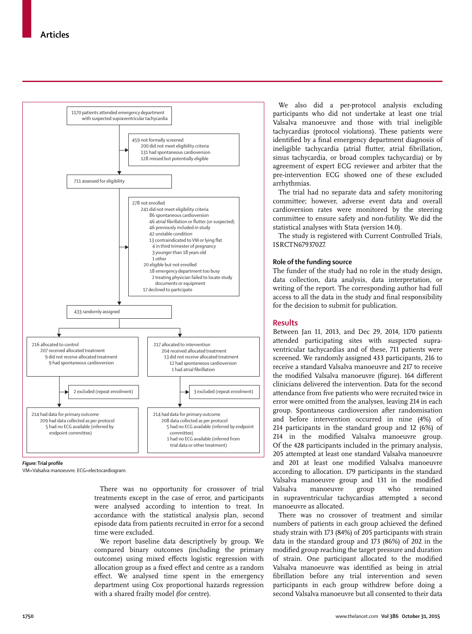

**Figure:** Trial profile

VM=Valsalva manoeuvre. ECG=electocardiogram.

There was no opportunity for crossover of trial treatments except in the case of error, and participants were analysed according to intention to treat. In accordance with the statistical analysis plan, second episode data from patients recruited in error for a second time were excluded.

We report baseline data descriptively by group. We compared binary outcomes (including the primary outcome) using mixed effects logistic regression with allocation group as a fixed effect and centre as a random effect. We analysed time spent in the emergency department using Cox proportional hazards regression with a shared frailty model (for centre).

We also did a per-protocol analysis excluding participants who did not undertake at least one trial Valsalva manoeuvre and those with trial ineligible tachycardias (protocol violations). These patients were identified by a final emergency department diagnosis of ineligible tachycardia (atrial flutter, atrial fibrillation, sinus tachycardia, or broad complex tachycardia) or by agreement of expert ECG reviewer and arbiter that the pre-intervention ECG showed one of these excluded arrhythmias.

The trial had no separate data and safety monitoring committee; however, adverse event data and overall cardioversion rates were monitored by the steering committee to ensure safety and non-futility. We did the statistical analyses with Stata (version 14.0).

The study is registered with Current Controlled Trials, ISRCTN67937027.

## **Role of the funding source**

The funder of the study had no role in the study design, data collection, data analysis, data interpretation, or writing of the report. The corresponding author had full access to all the data in the study and final responsibility for the decision to submit for publication.

# **Results**

Between Jan 11, 2013, and Dec 29, 2014, 1170 patients attended participating sites with suspected supraventricular tachycardias and of these, 711 patients were screened. We randomly assigned 433 participants, 216 to receive a standard Valsalva manoeuvre and 217 to receive the modified Valsalva manoeuvre (figure). 164 different clinicians delivered the intervention. Data for the second attendance from five patients who were recruited twice in error were omitted from the analyses, leaving 214 in each group. Spontaneous cardioversion after randomisation and before intervention occurred in nine (4%) of 214 participants in the standard group and 12 (6%) of 214 in the modified Valsalva manoeuvre group. Of the 428 participants included in the primary analysis, 205 attempted at least one standard Valsalva manoeuvre and 201 at least one modified Valsalva manoeuvre according to allocation. 179 participants in the standard Valsalva manoeuvre group and 131 in the modified Valsalva manoeuvre group who remained in supraventricular tachycardias attempted a second manoeuvre as allocated.

There was no crossover of treatment and similar numbers of patients in each group achieved the defined study strain with 173 (84%) of 205 participants with strain data in the standard group and 173 (86%) of 202 in the modified group reaching the target pressure and duration of strain. One participant allocated to the modified Valsalva manoeuvre was identified as being in atrial fibrillation before any trial intervention and seven participants in each group withdrew before doing a second Valsalva manoeuvre but all consented to their data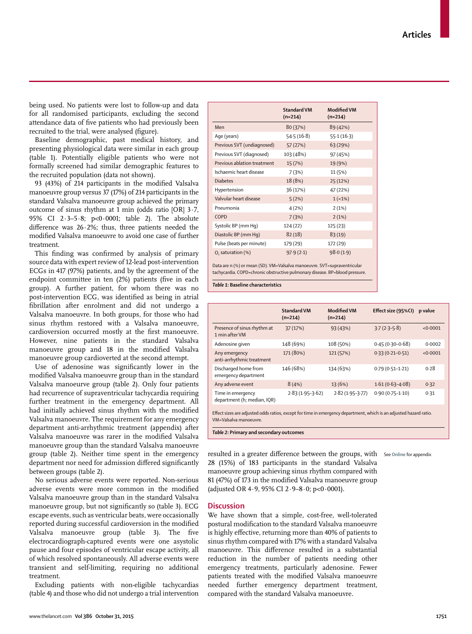being used. No patients were lost to follow-up and data for all randomised participants, excluding the second attendance data of five patients who had previously been recruited to the trial, were analysed (figure).

Baseline demographic, past medical history, and presenting physiological data were similar in each group (table 1). Potentially eligible patients who were not formally screened had similar demographic features to the recruited population (data not shown).

93 (43%) of 214 participants in the modified Valsalva manoeuvre group versus 37 (17%) of 214 participants in the standard Valsalva manoeuvre group achieved the primary outcome of sinus rhythm at 1 min (odds ratio [OR] 3·7, 95% CI 2·3–5·8; p<0·0001; table 2). The absolute difference was  $26.2\%$ ; thus, three patients needed the modified Valsalva manoeuvre to avoid one case of further treatment.

This finding was confirmed by analysis of primary source data with expert review of 12-lead post-intervention ECGs in 417 (97%) patients, and by the agreement of the endpoint committee in ten (2%) patients (five in each group). A further patient, for whom there was no post-intervention ECG, was identified as being in atrial fibrillation after enrolment and did not undergo a Valsalva manoeuvre. In both groups, for those who had sinus rhythm restored with a Valsalva manoeuvre, cardioversion occurred mostly at the first manoeuvre. However, nine patients in the standard Valsalva manoeuvre group and 18 in the modified Valsalva manoeuvre group cardioverted at the second attempt.

Use of adenosine was significantly lower in the modified Valsalva manoeuvre group than in the standard Valsalva manoeurve group (table 2). Only four patients had recurrence of supraventricular tachycardia requiring further treatment in the emergency department. All had initially achieved sinus rhythm with the modified Valsalva manoeuvre. The requirement for any emergency department anti-arrhythmic treatment (appendix) after Valsalva manoeuvre was rarer in the modified Valsalva manoeuvre group than the standard Valsalva manoeuvre group (table 2). Neither time spent in the emergency department nor need for admission differed significantly between groups (table 2).

No serious adverse events were reported. Non-serious adverse events were more common in the modified Valsalva manoeuvre group than in the standard Valsalva manoeuvre group, but not significantly so (table 3). ECG escape events, such as ventricular beats, were occasionally reported during successful cardioversion in the modified Valsalva manoeuvre group (table 3). The five electrocardiograph-captured events were one asystolic pause and four episodes of ventricular escape activity, all of which resolved spontaneously. All adverse events were transient and self-limiting, requiring no additional treatment.

Excluding patients with non-eligible tachycardias (table 4) and those who did not undergo a trial intervention

| Previous SVT (diagnosed)                                                                                                                                | 103 (48%) | 97 (45%)  |  |
|---------------------------------------------------------------------------------------------------------------------------------------------------------|-----------|-----------|--|
| Previous ablation treatment                                                                                                                             | 15 (7%)   | 19 (9%)   |  |
| Ischaemic heart disease                                                                                                                                 | 7(3%)     | 11 (5%)   |  |
| <b>Diabetes</b>                                                                                                                                         | 18 (8%)   | 25 (12%)  |  |
| Hypertension                                                                                                                                            | 36 (17%)  | 47 (22%)  |  |
| Valvular heart disease                                                                                                                                  | 5(2%)     | $1(-1%)$  |  |
| Pneumonia                                                                                                                                               | 4(2%)     | 2(1%)     |  |
| COPD                                                                                                                                                    | 7(3%)     | 2(1%)     |  |
| Systolic BP (mm Hq)                                                                                                                                     | 124 (22)  | 125(23)   |  |
| Diastolic BP (mm Hq)                                                                                                                                    | 82(18)    | 83(19)    |  |
| Pulse (beats per minute)                                                                                                                                | 179 (29)  | 172 (29)  |  |
| $0$ , saturation $(\%)$                                                                                                                                 | 97.9(2.1) | 98.0(1.9) |  |
| Data are n (%) or mean (SD). VM=Valsalva manoeuvre. SVT=supraventricular<br>tachycardia. COPD=chronic obstructive pulmonary disease. BP=blood pressure. |           |           |  |

**Standard VM (n=214)**

Men 80 (37%) 89 (42%) Age (years) 54·5 (16·8) 55·1 (16·3) Previous SVT (undiagnosed) 57 (27%) 63 (29%)

**Modified VM (n=214)**

*Table 1:* **Baseline characteristics**

|                                                  | <b>Standard VM</b><br>$(n=214)$ | <b>Modified VM</b><br>$(n=214)$ | Effect size (95%Cl) | p value  |
|--------------------------------------------------|---------------------------------|---------------------------------|---------------------|----------|
| Presence of sinus rhythm at<br>1 min after VM    | 37 (17%)                        | 93 (43%)                        | $3.7(2.3-5.8)$      | < 0.0001 |
| Adenosine given                                  | 148 (69%)                       | 108 (50%)                       | $0.45(0.30 - 0.68)$ | 0.0002   |
| Any emergency<br>anti-arrhythmic treatment       | 171 (80%)                       | 121 (57%)                       | $0.33(0.21 - 0.51)$ | < 0.0001 |
| Discharged home from<br>emergency department     | 146 (68%)                       | 134 (63%)                       | $0.79(0.51 - 1.21)$ | 0.28     |
| Any adverse event                                | 8(4%)                           | 13 (6%)                         | $1.61(0.63 - 4.08)$ | 0.32     |
| Time in emergency<br>department (h; median, IQR) | $2.83(1.95-3.62)$               | $2.82(1.95 - 3.77)$             | $0.90(0.75 - 1.10)$ | 0.31     |

Effect sizes are adjusted odds ratios, except for time in emergency department, which is an adjusted hazard ratio. VM=Valsalva manoeuvre.

*Table 2:* **Primary and secondary outcomes**

resulted in a greater difference between the groups, with See Online for appendix 28 (15%) of 183 participants in the standard Valsalva manoeuvre group achieving sinus rhythm compared with 81 (47%) of 173 in the modified Valsalva manoeuvre group (adjusted OR 4·9, 95% CI 2·9–8·0; p<0·0001).

**Discussion**

We have shown that a simple, cost-free, well-tolerated postural modification to the standard Valsalva manoeuvre is highly effective, returning more than 40% of patients to sinus rhythm compared with 17% with a standard Valsalva manoeuvre. This difference resulted in a substantial reduction in the number of patients needing other emergency treatments, particularly adenosine. Fewer patients treated with the modified Valsalva manoeuvre needed further emergency department treatment, compared with the standard Valsalva manoeuvre.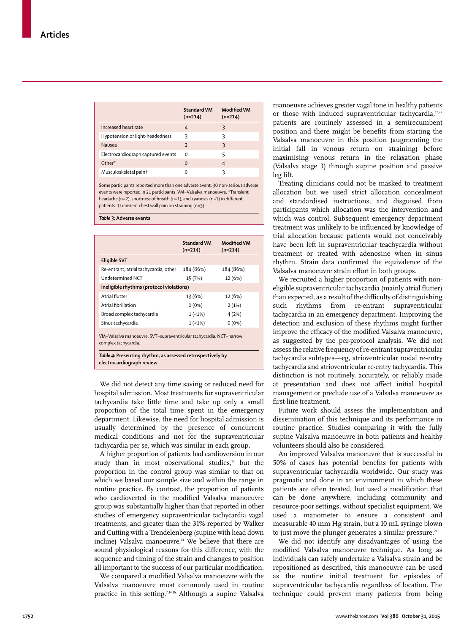|                                    | <b>Standard VM</b><br>$(n=214)$ | <b>Modified VM</b><br>$(n=214)$ |
|------------------------------------|---------------------------------|---------------------------------|
| Increased heart rate               | 4                               | ξ                               |
| Hypotension or light-headedness    | 3                               | κ                               |
| Nausea                             | $\overline{z}$                  | ξ                               |
| Electrocardiograph captured events | O                               | 5                               |
| Other*                             | $\Omega$                        | $\overline{4}$                  |
| Musculoskeletal pain†              | O                               | ς                               |

Some participants reported more than one adverse event. 30 non-serious adverse events were reported in 21 participants. VM=Valsalva manoeuvre. \*Transient headache (n=2), shortness of breath (n=1), and cyanosis (n=1) in different patients. †Transient chest wall pain on straining (n=3).

*Table 3:* **Adverse events**

|                                                                                             | <b>Standard VM</b><br>$(n=214)$ | <b>Modified VM</b><br>$(n=214)$ |
|---------------------------------------------------------------------------------------------|---------------------------------|---------------------------------|
| <b>Eligible SVT</b>                                                                         |                                 |                                 |
| Re-entrant, atrial tachycardia, other                                                       | 184 (86%)                       | 184 (86%)                       |
| Undetermined NCT                                                                            | 15 (7%)                         | 12 (6%)                         |
| Ineligible rhythms (protocol violations)                                                    |                                 |                                 |
| Atrial flutter                                                                              | 13 (6%)                         | 12 (6%)                         |
| Atrial fibrillation                                                                         | $0(0\%)$                        | 2(1%)                           |
| Broad complex tachycardia                                                                   | $1(-1%)$                        | 4(2%)                           |
| Sinus tachycardia                                                                           | $1(-1%)$                        | $0(0\%)$                        |
| VM=Valsalva manoeuvre. SVT=supraventricular tachycardia. NCT=narrow<br>complex tachycardia. |                                 |                                 |

*Table 4:* **Presenting rhythm, as assessed retrospectively by electrocardiograph review**

We did not detect any time saving or reduced need for hospital admission. Most treatments for supraventricular tachycardia take little time and take up only a small proportion of the total time spent in the emergency department. Likewise, the need for hospital admission is usually determined by the presence of concurrent medical conditions and not for the supraventricular tachycardia per se, which was similar in each group.

A higher proportion of patients had cardioversion in our study than in most observational studies,<sup>19</sup> but the proportion in the control group was similar to that on which we based our sample size and within the range in routine practice. By contrast, the proportion of patients who cardioverted in the modified Valsalva manoeuvre group was substantially higher than that reported in other studies of emergency supraventricular tachycardia vagal treatments, and greater than the 31% reported by Walker and Cutting with a Trendelenberg (supine with head down incline) Valsalva manoeuvre.<sup>14</sup> We believe that there are sound physiological reasons for this difference, with the sequence and timing of the strain and changes to position all important to the success of our particular modification.

We compared a modified Valsalva manoeuvre with the Valsalva manoeuvre most commonly used in routine practice in this setting.7,14,16 Although a supine Valsalva manoeuvre achieves greater vagal tone in healthy patients or those with induced supraventricular tachycardia, $\frac{\pi}{2}$ patients are routinely assessed in a semirecumbent position and there might be benefits from starting the Valsalva manoeuvre in this position (augmenting the initial fall in venous return on straining) before maximising venous return in the relaxation phase (Valsalva stage 3) through supine position and passive leg lift.

Treating clinicians could not be masked to treatment allocation but we used strict allocation concealment and standardised instructions, and disguised from participants which allocation was the intervention and which was control. Subsequent emergency department treatment was unlikely to be influenced by knowledge of trial allocation because patients would not conceivably have been left in supraventricular teachycardia without treatment or treated with adenosine when in sinus rhythm. Strain data confirmed the equivalence of the Valsalva manoeuvre strain effort in both groups.

We recruited a higher proportion of patients with noneligible supraventricular tachycardia (mainly atrial flutter) than expected, as a result of the difficulty of distinguishing such rhythms from re-entrant supraventricular tachycardia in an emergency department. Improving the detection and exclusion of these rhythms might further improve the efficacy of the modified Valsalva manoeuvre, as suggested by the per-protocol analysis. We did not assess the relative frequency of re-entrant supraventricular tachycardia subtypes—eg, atrioventricular nodal re-entry tachycardia and atrioventricular re-entry tachycardia. This distinction is not routinely, accurately, or reliably made at presentation and does not affect initial hospital management or preclude use of a Valsalva manoeuvre as first-line treatment.

Future work should assess the implementation and dissemination of this technique and its performance in routine practice. Studies comparing it with the fully supine Valsalva manoeuvre in both patients and healthy volunteers should also be considered.

An improved Valsalva manoeuvre that is successful in 50% of cases has potential benefits for patients with supraventricular tachycardia worldwide. Our study was pragmatic and done in an environment in which these patients are often treated, but used a modification that can be done anywhere, including community and resource-poor settings, without specialist equipment. We used a manometer to ensure a consistent and measurable 40 mm Hg strain, but a 10 mL syringe blown to just move the plunger generates a similar pressure. $21$ 

We did not identify any disadvantages of using the modified Valsalva manoeuvre technique. As long as individuals can safely undertake a Valsalva strain and be repositioned as described, this manoeuvre can be used as the routine initial treatment for episodes of supraventricular tachycardia regardless of location. The technique could prevent many patients from being